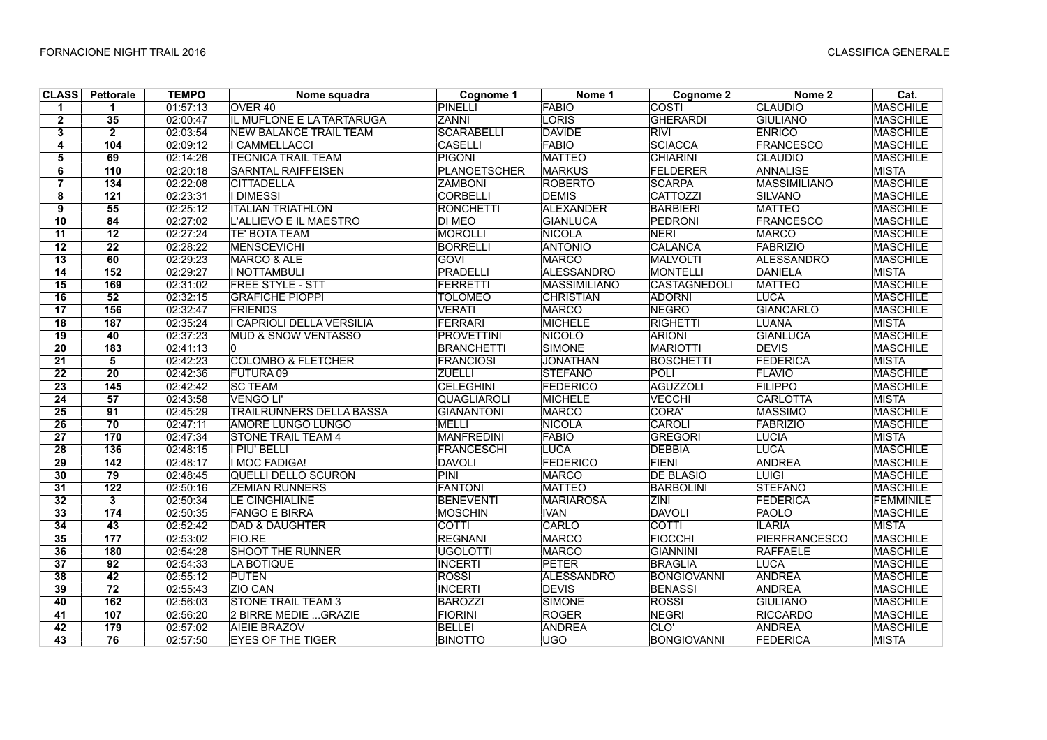| <b>CLASS</b>    | Pettorale        | <b>TEMPO</b> | Nome squadra                    | Cognome 1           | Nome 1              | Cognome 2           | Nome 2               | Cat.            |
|-----------------|------------------|--------------|---------------------------------|---------------------|---------------------|---------------------|----------------------|-----------------|
| 1               | $\mathbf 1$      | 01:57:13     | OVER <sub>40</sub>              | <b>PINELLI</b>      | <b>FABIO</b>        | COSTI               | <b>CLAUDIO</b>       | <b>MASCHILE</b> |
| $\overline{2}$  | 35               | 02:00:47     | IL MUFLONE E LA TARTARUGA       | <b>ZANNI</b>        | LORIS               | <b>GHERARDI</b>     | <b>GIULIANO</b>      | <b>MASCHILE</b> |
| 3               | $\overline{2}$   | 02:03:54     | <b>NEW BALANCE TRAIL TEAM</b>   | <b>SCARABELLI</b>   | DAVIDE              | <b>RIVI</b>         | <b>ENRICO</b>        | <b>MASCHILE</b> |
| 4               | 104              | 02:09:12     | <b>I CAMMELLACCI</b>            | <b>CASELLI</b>      | FABIO               | <b>SCIACCA</b>      | <b>FRANCESCO</b>     | <b>MASCHILE</b> |
| 5               | 69               | 02:14:26     | <b>TECNICA TRAIL TEAM</b>       | PIGONI              | <b>MATTEO</b>       | <b>CHIARINI</b>     | <b>CLAUDIO</b>       | <b>MASCHILE</b> |
| 6               | 110              | 02:20:18     | <b>SARNTAL RAIFFEISEN</b>       | <b>PLANOETSCHER</b> | <b>MARKUS</b>       | FELDERER            | <b>ANNALISE</b>      | <b>MISTA</b>    |
| $\overline{7}$  | $\overline{134}$ | 02:22:08     | <b>CITTADELLA</b>               | <b>ZAMBONI</b>      | <b>ROBERTO</b>      | <b>SCARPA</b>       | <b>MASSIMILIANO</b>  | <b>MASCHILE</b> |
| 8               | $\overline{121}$ | 02:23:31     | <b>I DIMESSI</b>                | <b>CORBELLI</b>     | <b>DEMIS</b>        | <b>CATTOZZI</b>     | <b>SILVANO</b>       | <b>MASCHILE</b> |
| $\overline{9}$  | 55               | 02:25:12     | <b>ITALIAN TRIATHLON</b>        | <b>RONCHETTI</b>    | <b>ALEXANDER</b>    | <b>BARBIERI</b>     | <b>MATTEO</b>        | <b>MASCHILE</b> |
| 10              | 84               | 02:27:02     | L'ALLIEVO E IL MAESTRO          | <b>DI MEO</b>       | <b>GIANLUCA</b>     | <b>PEDRONI</b>      | <b>FRANCESCO</b>     | <b>MASCHILE</b> |
| 11              | 12               | 02:27:24     | <b>TE' BOTA TEAM</b>            | MOROLLI             | NICOLA              | <b>NERI</b>         | <b>MARCO</b>         | <b>MASCHILE</b> |
| $\overline{12}$ | $\overline{22}$  | 02:28:22     | MENSCEVICHI                     | <b>BORRELLI</b>     | <b>ANTONIO</b>      | <b>CALANCA</b>      | <b>FABRIZIO</b>      | <b>MASCHILE</b> |
| 13              | 60               | 02:29:23     | MARCO & ALE                     | <b>GOVI</b>         | MARCO               | <b>MALVOLTI</b>     | <b>ALESSANDRO</b>    | <b>MASCHILE</b> |
| 14              | 152              | 02:29:27     | I NOTTAMBULI                    | <b>PRADELLI</b>     | <b>ALESSANDRO</b>   | <b>MONTELLI</b>     | <b>DANIELA</b>       | <b>MISTA</b>    |
| $\overline{15}$ | 169              | 02:31:02     | <b>FREE STYLE - STT</b>         | <b>FERRETTI</b>     | <b>MASSIMILIANO</b> | <b>CASTAGNEDOLI</b> | <b>MATTEO</b>        | <b>MASCHILE</b> |
| 16              | $\overline{52}$  | 02:32:15     | <b>GRAFICHE PIOPPI</b>          | <b>TOLOMEO</b>      | <b>CHRISTIAN</b>    | <b>ADORNI</b>       | <b>LUCA</b>          | <b>MASCHILE</b> |
| $\overline{17}$ | 156              | 02:32:47     | <b>FRIENDS</b>                  | <b>VERATI</b>       | <b>MARCO</b>        | <b>NEGRO</b>        | <b>GIANCARLO</b>     | <b>MASCHILE</b> |
| 18              | 187              | 02:35:24     | I CAPRIOLI DELLA VERSILIA       | <b>FERRARI</b>      | MICHELE             | <b>RIGHETTI</b>     | <b>LUANA</b>         | MISTA           |
| 19              | 40               | 02:37:23     | <b>MUD &amp; SNOW VENTASSO</b>  | <b>PROVETTINI</b>   | <b>NICOLO</b>       | <b>ARIONI</b>       | <b>GIANLUCA</b>      | <b>MASCHILE</b> |
| $\overline{20}$ | 183              | 02:41:13     | 10                              | <b>BRANCHETTI</b>   | SIMONE              | <b>MARIOTTI</b>     | <b>DEVIS</b>         | <b>MASCHILE</b> |
| 21              | $\overline{5}$   | 02:42:23     | <b>COLOMBO &amp; FLETCHER</b>   | <b>FRANCIOSI</b>    | <b>JONATHAN</b>     | <b>BOSCHETTI</b>    | <b>FEDERICA</b>      | <b>MISTA</b>    |
| $\overline{22}$ | $\overline{20}$  | 02:42:36     | <b>FUTURA 09</b>                | <b>ZUELLI</b>       | <b>STEFANO</b>      | POLI                | <b>FLAVIO</b>        | <b>MASCHILE</b> |
| 23              | 145              | 02:42:42     | <b>SC TEAM</b>                  | <b>CELEGHINI</b>    | FEDERICO            | <b>AGUZZOLI</b>     | <b>FILIPPO</b>       | <b>MASCHILE</b> |
| 24              | 57               | 02:43:58     | VENGO LI'                       | <b>QUAGLIAROLI</b>  | <b>MICHELE</b>      | <b>VECCHI</b>       | <b>CARLOTTA</b>      | <b>MISTA</b>    |
| $\overline{25}$ | $\overline{91}$  | 02:45:29     | <b>TRAILRUNNERS DELLA BASSA</b> | <b>GIANANTONI</b>   | <b>MARCO</b>        | CORA'               | <b>MASSIMO</b>       | <b>MASCHILE</b> |
| $\overline{26}$ | 70               | 02:47:11     | <b>AMORE LUNGO LUNGO</b>        | <b>MELLI</b>        | NICOLA              | CAROLI              | <b>FABRIZIO</b>      | <b>MASCHILE</b> |
| $\overline{27}$ | 170              | 02:47:34     | <b>STONE TRAIL TEAM 4</b>       | <b>MANFREDINI</b>   | FABIO               | <b>GREGORI</b>      | <b>LUCIA</b>         | <b>MISTA</b>    |
| 28              | 136              | 02:48:15     | <b>I PIU' BELLI</b>             | <b>FRANCESCHI</b>   | LUCA                | <b>DEBBIA</b>       | <b>LUCA</b>          | <b>MASCHILE</b> |
| 29              | $142$            | 02:48:17     | <b>I MOC FADIGA!</b>            | <b>DAVOLI</b>       | FEDERICO            | <b>FIENI</b>        | <b>ANDREA</b>        | <b>MASCHILE</b> |
| 30              | 79               | 02:48:45     | <b>QUELLI DELLO SCURON</b>      | PINI                | <b>MARCO</b>        | <b>DE BLASIO</b>    | <b>LUIGI</b>         | <b>MASCHILE</b> |
| $\overline{31}$ | $\overline{122}$ | 02:50:16     | <b>ZEMIAN RUNNERS</b>           | <b>FANTONI</b>      | <b>MATTEO</b>       | <b>BARBOLINI</b>    | <b>STEFANO</b>       | <b>MASCHILE</b> |
| $\overline{32}$ | 3                | 02:50:34     | LE CINGHIALINE                  | <b>BENEVENTI</b>    | <b>MARIAROSA</b>    | <b>ZINI</b>         | <b>FEDERICA</b>      | FEMMINILE       |
| 33              | $174$            | 02:50:35     | <b>FANGO E BIRRA</b>            | <b>MOSCHIN</b>      | <b>IVAN</b>         | <b>DAVOLI</b>       | <b>PAOLO</b>         | <b>MASCHILE</b> |
| 34              | 43               | 02:52:42     | <b>DAD &amp; DAUGHTER</b>       | <b>COTTI</b>        | CARLO               | COTTI               | <b>ILARIA</b>        | <b>MISTA</b>    |
| 35              | 177              | 02:53:02     | <b>FIO.RE</b>                   | <b>REGNANI</b>      | <b>MARCO</b>        | <b>FIOCCHI</b>      | <b>PIERFRANCESCO</b> | <b>MASCHILE</b> |
| 36              | 180              | 02:54:28     | <b>SHOOT THE RUNNER</b>         | <b>UGOLOTTI</b>     | <b>MARCO</b>        | <b>GIANNINI</b>     | <b>RAFFAELE</b>      | <b>MASCHILE</b> |
| $\overline{37}$ | $\overline{92}$  | 02:54:33     | LA BOTIQUE                      | <b>INCERTI</b>      | PETER               | <b>BRAGLIA</b>      | <b>LUCA</b>          | <b>MASCHILE</b> |
| 38              | 42               | 02:55:12     | <b>PUTEN</b>                    | <b>ROSSI</b>        | <b>ALESSANDRO</b>   | <b>BONGIOVANNI</b>  | <b>ANDREA</b>        | <b>MASCHILE</b> |
| 39              | 72               | 02:55:43     | ZIO CAN                         | <b>INCERTI</b>      | <b>DEVIS</b>        | <b>BENASSI</b>      | <b>ANDREA</b>        | <b>MASCHILE</b> |
| 40              | $162$            | 02:56:03     | <b>STONE TRAIL TEAM 3</b>       | <b>BAROZZI</b>      | SIMONE              | <b>ROSSI</b>        | <b>GIULIANO</b>      | <b>MASCHILE</b> |
| 41              | 107              | 02:56:20     | 2 BIRRE MEDIE  GRAZIE           | <b>FIORINI</b>      | <b>ROGER</b>        | <b>NEGRI</b>        | <b>RICCARDO</b>      | <b>MASCHILE</b> |
| 42              | 179              | 02:57:02     | <b>AIEIE BRAZOV</b>             | <b>BELLEI</b>       | <b>ANDREA</b>       | CLO'                | <b>ANDREA</b>        | <b>MASCHILE</b> |
| 43              | 76               | 02:57:50     | <b>EYES OF THE TIGER</b>        | <b>BINOTTO</b>      | <b>UGO</b>          | <b>BONGIOVANNI</b>  | <b>FEDERICA</b>      | <b>MISTA</b>    |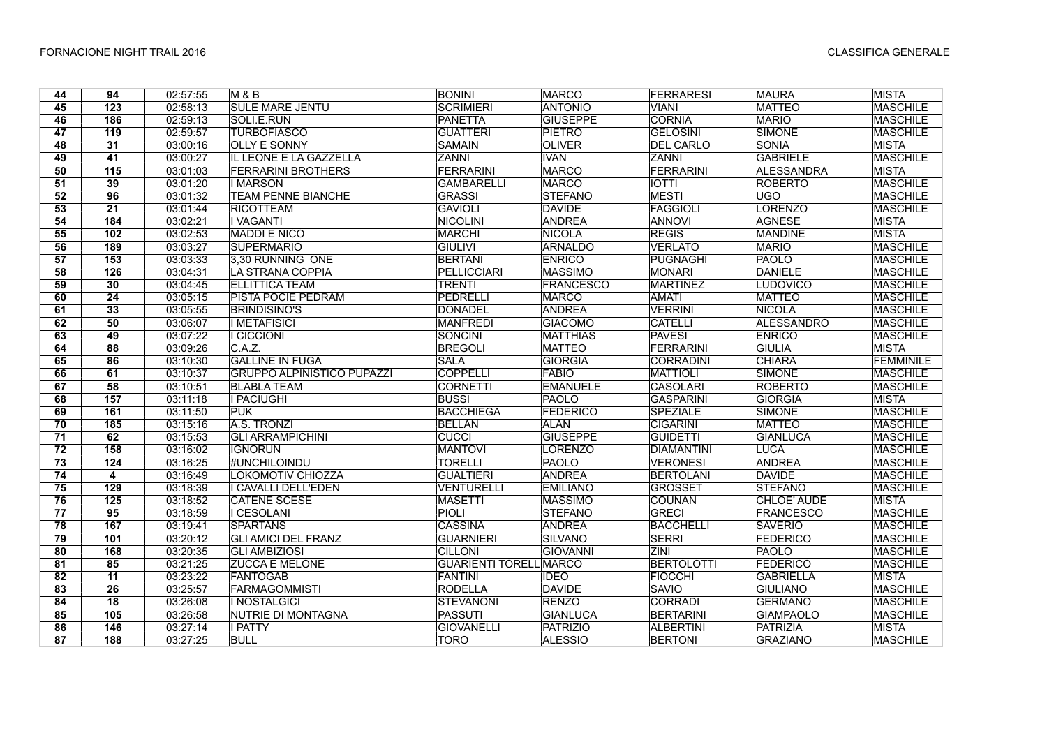| 44              | 94               | 02:57:55 | <b>M&amp;B</b>                    | <b>BONINI</b>                 | <b>MARCO</b>     | <b>FERRARESI</b>  | <b>MAURA</b>       | <b>MISTA</b>     |
|-----------------|------------------|----------|-----------------------------------|-------------------------------|------------------|-------------------|--------------------|------------------|
| 45              | $\overline{123}$ | 02:58:13 | <b>SULE MARE JENTU</b>            | <b>SCRIMIERI</b>              | <b>ANTONIO</b>   | <b>VIANI</b>      | <b>MATTEO</b>      | <b>MASCHILE</b>  |
| 46              | 186              | 02:59:13 | SOLI.E.RUN                        | <b>PANETTA</b>                | <b>GIUSEPPE</b>  | <b>CORNIA</b>     | <b>MARIO</b>       | <b>MASCHILE</b>  |
| 47              | 119              | 02:59:57 | <b>TURBOFIASCO</b>                | <b>GUATTERI</b>               | PIETRO           | <b>GELOSINI</b>   | SIMONE             | <b>MASCHILE</b>  |
| 48              | 31               | 03:00:16 | <b>OLLY E SONNY</b>               | <b>SAMAIN</b>                 | <b>OLIVER</b>    | <b>DEL CARLO</b>  | <b>SONIA</b>       | <b>MISTA</b>     |
| 49              | 41               | 03:00:27 | IL LEONE E LA GAZZELLA            | <b>ZANNI</b>                  | <b>IVAN</b>      | <b>ZANNI</b>      | <b>GABRIELE</b>    | <b>MASCHILE</b>  |
| 50              | 115              | 03:01:03 | <b>FERRARINI BROTHERS</b>         | <b>FERRARINI</b>              | <b>MARCO</b>     | FERRARINI         | <b>ALESSANDRA</b>  | <b>MISTA</b>     |
| 51              | 39               | 03:01:20 | <b>IMARSON</b>                    | <b>GAMBARELLI</b>             | <b>MARCO</b>     | <b>IOTTI</b>      | <b>ROBERTO</b>     | <b>MASCHILE</b>  |
| 52              | 96               | 03:01:32 | <b>TEAM PENNE BIANCHE</b>         | <b>GRASSI</b>                 | <b>STEFANO</b>   | <b>MESTI</b>      | UGO                | <b>MASCHILE</b>  |
| 53              | $\overline{21}$  | 03:01:44 | <b>RICOTTEAM</b>                  | <b>GAVIOLI</b>                | <b>DAVIDE</b>    | <b>FAGGIOLI</b>   | <b>LORENZO</b>     | <b>MASCHILE</b>  |
| 54              | 184              | 03:02:21 | <b>I</b> VAGANTI                  | <b>NICOLINI</b>               | <b>ANDREA</b>    | <b>ANNOVI</b>     | <b>AGNESE</b>      | <b>MISTA</b>     |
| $\overline{55}$ | 102              | 03:02:53 | <b>MADDI E NICO</b>               | <b>MARCHI</b>                 | <b>NICOLA</b>    | <b>REGIS</b>      | <b>MANDINE</b>     | <b>MISTA</b>     |
| 56              | 189              | 03:03:27 | <b>SUPERMARIO</b>                 | <b>GIULIVI</b>                | <b>ARNALDO</b>   | <b>VERLATO</b>    | <b>MARIO</b>       | <b>MASCHILE</b>  |
| 57              | 153              | 03:03:33 | 3,30 RUNNING ONE                  | <b>BERTANI</b>                | <b>ENRICO</b>    | PUGNAGHI          | <b>PAOLO</b>       | <b>MASCHILE</b>  |
| 58              | 126              | 03:04:31 | LA STRANA COPPIA                  | <b>PELLICCIARI</b>            | <b>MASSIMO</b>   | <b>MONARI</b>     | DANIELE            | <b>MASCHILE</b>  |
| 59              | 30               | 03:04:45 | <b>ELLITTICA TEAM</b>             | <b>TRENTI</b>                 | <b>FRANCESCO</b> | <b>MARTINEZ</b>   | <b>LUDOVICO</b>    | <b>MASCHILE</b>  |
| 60              | $\overline{24}$  | 03:05:15 | <b>PISTA POCIE PEDRAM</b>         | <b>PEDRELLI</b>               | <b>MARCO</b>     | <b>AMATI</b>      | <b>MATTEO</b>      | <b>MASCHILE</b>  |
| 61              | 33               | 03:05:55 | <b>BRINDISINO'S</b>               | DONADEL                       | ANDREA           | <b>VERRINI</b>    | <b>NICOLA</b>      | <b>MASCHILE</b>  |
| 62              | 50               | 03:06:07 | I METAFISICI                      | <b>MANFREDI</b>               | <b>GIACOMO</b>   | <b>CATELLI</b>    | ALESSANDRO         | <b>MASCHILE</b>  |
| 63              | 49               | 03:07:22 | <b>I CICCIONI</b>                 | <b>SONCINI</b>                | <b>MATTHIAS</b>  | <b>PAVESI</b>     | <b>ENRICO</b>      | <b>MASCHILE</b>  |
| 64              | 88               | 03:09:26 | C.A.Z.                            | <b>BREGOLI</b>                | <b>MATTEO</b>    | FERRARINI         | <b>GIULIA</b>      | <b>MISTA</b>     |
| 65              | 86               | 03:10:30 | <b>GALLINE IN FUGA</b>            | <b>SALA</b>                   | <b>GIORGIA</b>   | <b>CORRADINI</b>  | <b>CHIARA</b>      | <b>FEMMINILE</b> |
| 66              | 61               | 03:10:37 | <b>GRUPPO ALPINISTICO PUPAZZI</b> | <b>COPPELLI</b>               | <b>FABIO</b>     | <b>MATTIOLI</b>   | SIMONE             | <b>MASCHILE</b>  |
| 67              | 58               | 03:10:51 | <b>BLABLA TEAM</b>                | <b>CORNETTI</b>               | <b>EMANUELE</b>  | <b>CASOLARI</b>   | <b>ROBERTO</b>     | <b>MASCHILE</b>  |
| 68              | 157              | 03:11:18 | <b>I PACIUGHI</b>                 | <b>BUSSI</b>                  | PAOLO            | <b>GASPARINI</b>  | GIORGIA            | <b>MISTA</b>     |
| 69              | 161              | 03:11:50 | <b>PUK</b>                        | <b>BACCHIEGA</b>              | <b>FEDERICO</b>  | <b>SPEZIALE</b>   | <b>SIMONE</b>      | <b>MASCHILE</b>  |
| 70              | 185              | 03:15:16 | A.S. TRONZI                       | <b>BELLAN</b>                 | <b>ALAN</b>      | <b>CIGARINI</b>   | <b>MATTEO</b>      | <b>MASCHILE</b>  |
| 71              | 62               | 03:15:53 | <b>GLI ARRAMPICHINI</b>           | <b>CUCCI</b>                  | <b>GIUSEPPE</b>  | <b>GUIDETTI</b>   | <b>GIANLUCA</b>    | <b>MASCHILE</b>  |
| 72              | 158              | 03:16:02 | <b>IGNORUN</b>                    | <b>MANTOVI</b>                | <b>LORENZO</b>   | <b>DIAMANTINI</b> | <b>LUCA</b>        | <b>MASCHILE</b>  |
| 73              | 124              | 03:16:25 | <b>#UNCHILOINDU</b>               | <b>TORELLI</b>                | PAOLO            | <b>VERONESI</b>   | <b>ANDREA</b>      | <b>MASCHILE</b>  |
| $\overline{74}$ | $\overline{4}$   | 03:16:49 | LOKOMOTIV CHIOZZA                 | <b>GUALTIERI</b>              | <b>ANDREA</b>    | <b>BERTOLANI</b>  | <b>DAVIDE</b>      | <b>MASCHILE</b>  |
| 75              | 129              | 03:18:39 | I CAVALLI DELL'EDEN               | <b>VENTURELLI</b>             | <b>EMILIANO</b>  | <b>GROSSET</b>    | <b>STEFANO</b>     | <b>MASCHILE</b>  |
| 76              | 125              | 03:18:52 | <b>CATENE SCESE</b>               | <b>MASETTI</b>                | <b>MASSIMO</b>   | <b>COUNAN</b>     | <b>CHLOE' AUDE</b> | <b>MISTA</b>     |
| 77              | 95               | 03:18:59 | <b>I</b> CESOLANI                 | <b>PIOLI</b>                  | <b>STEFANO</b>   | <b>GRECI</b>      | FRANCESCO          | <b>MASCHILE</b>  |
| 78              | 167              | 03:19:41 | <b>SPARTANS</b>                   | <b>CASSINA</b>                | <b>ANDREA</b>    | <b>BACCHELLI</b>  | <b>SAVERIO</b>     | <b>MASCHILE</b>  |
| 79              | 101              | 03:20:12 | <b>GLI AMICI DEL FRANZ</b>        | <b>GUARNIERI</b>              | <b>SILVANO</b>   | <b>SERRI</b>      | <b>FEDERICO</b>    | <b>MASCHILE</b>  |
| 80              | 168              | 03:20:35 | <b>GLI AMBIZIOSI</b>              | <b>CILLONI</b>                | <b>GIOVANNI</b>  | <b>ZINI</b>       | PAOLO              | <b>MASCHILE</b>  |
| $\overline{81}$ | 85               | 03:21:25 | <b>ZUCCA E MELONE</b>             | <b>GUARIENTI TORELL MARCO</b> |                  | <b>BERTOLOTTI</b> | <b>FEDERICO</b>    | <b>MASCHILE</b>  |
| 82              | 11               | 03:23:22 | FANTOGAB                          | FANTINI                       | <b>IDEO</b>      | <b>FIOCCHI</b>    | <b>GABRIELLA</b>   | <b>MISTA</b>     |
| 83              | 26               | 03:25:57 | FARMAGOMMISTI                     | <b>RODELLA</b>                | <b>DAVIDE</b>    | <b>SAVIO</b>      | <b>GIULIANO</b>    | <b>MASCHILE</b>  |
| 84              | $\overline{18}$  | 03:26:08 | I NOSTALGICI                      | <b>STEVANONI</b>              | <b>RENZO</b>     | <b>CORRADI</b>    | <b>GERMANO</b>     | <b>MASCHILE</b>  |
| 85              | 105              | 03:26:58 | NUTRIE DI MONTAGNA                | <b>PASSUTI</b>                | <b>GIANLUCA</b>  | <b>BERTARINI</b>  | <b>GIAMPAOLO</b>   | <b>MASCHILE</b>  |
| 86              | 146              | 03:27:14 | <b>I PATTY</b>                    | <b>GIOVANELLI</b>             | <b>PATRIZIO</b>  | <b>ALBERTINI</b>  | PATRIZIA           | MISTA            |
| 87              | 188              | 03:27:25 | <b>BULL</b>                       | <b>TORO</b>                   | <b>ALESSIO</b>   | <b>BERTONI</b>    | <b>GRAZIANO</b>    | <b>MASCHILE</b>  |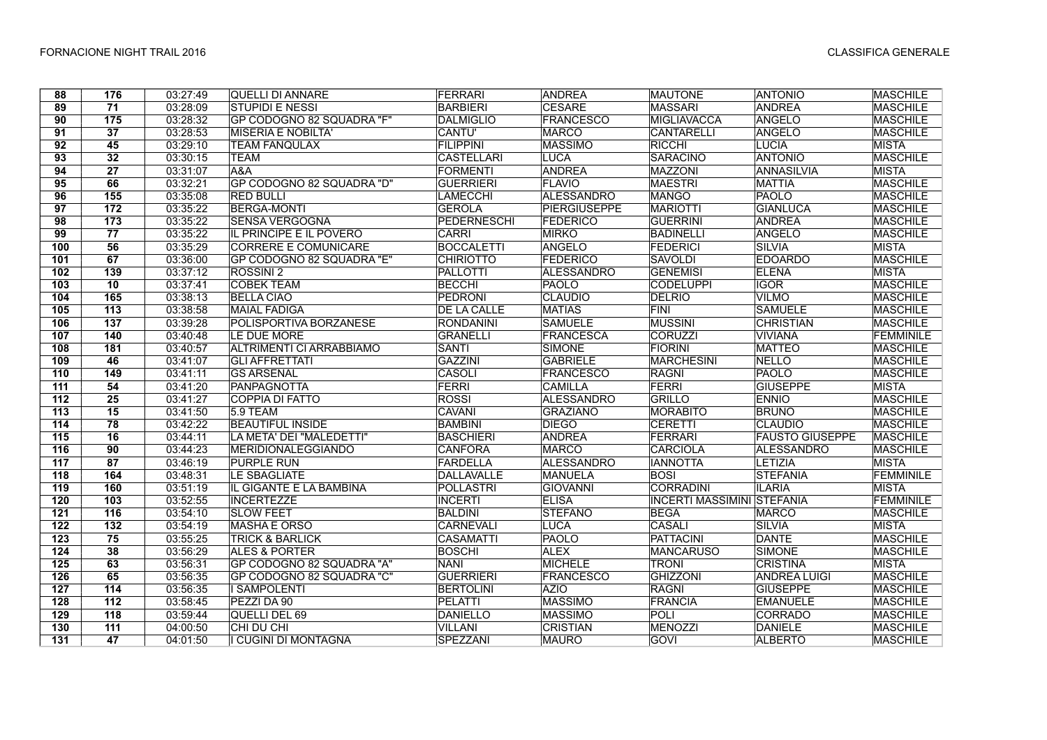| 88               | 176              | 03:27:49 | <b>QUELLI DI ANNARE</b>        | FERRARI            | <b>ANDREA</b>       | <b>MAUTONE</b>                    | <b>ANTONIO</b>         | <b>MASCHILE</b>  |
|------------------|------------------|----------|--------------------------------|--------------------|---------------------|-----------------------------------|------------------------|------------------|
| 89               | $\overline{71}$  | 03:28:09 | <b>STUPIDI E NESSI</b>         | <b>BARBIERI</b>    | <b>CESARE</b>       | <b>MASSARI</b>                    | <b>ANDREA</b>          | <b>MASCHILE</b>  |
| $\overline{90}$  | $\overline{175}$ | 03:28:32 | GP CODOGNO 82 SQUADRA "F"      | <b>DALMIGLIO</b>   | <b>FRANCESCO</b>    | <b>MIGLIAVACCA</b>                | ANGELO                 | <b>MASCHILE</b>  |
| 91               | $\overline{37}$  | 03:28:53 | <b>MISERIA E NOBILTA'</b>      | CANTU'             | <b>MARCO</b>        | <b>CANTARELLI</b>                 | ANGELO                 | <b>MASCHILE</b>  |
| 92               | 45               | 03:29:10 | <b>TEAM FANQULAX</b>           | <b>FILIPPINI</b>   | <b>MASSIMO</b>      | RICCHI                            | <b>LUCIA</b>           | <b>MISTA</b>     |
| 93               | 32               | 03:30:15 | <b>TEAM</b>                    | <b>CASTELLARI</b>  | <b>LUCA</b>         | <b>SARACINO</b>                   | <b>ANTONIO</b>         | <b>MASCHILE</b>  |
| $\overline{94}$  | $\overline{27}$  | 03:31:07 | A&A                            | <b>FORMENTI</b>    | <b>ANDREA</b>       | <b>MAZZONI</b>                    | <b>ANNASILVIA</b>      | <b>MISTA</b>     |
| $\overline{95}$  | 66               | 03:32:21 | GP CODOGNO 82 SQUADRA "D"      | <b>GUERRIERI</b>   | <b>FLAVIO</b>       | <b>MAESTRI</b>                    | <b>MATTIA</b>          | <b>MASCHILE</b>  |
| 96               | 155              | 03:35:08 | <b>RED BULLI</b>               | LAMECCHI           | ALESSANDRO          | <b>MANGO</b>                      | PAOLO                  | <b>MASCHILE</b>  |
| 97               | 172              | 03:35:22 | <b>BERGA-MONTI</b>             | <b>GEROLA</b>      | <b>PIERGIUSEPPE</b> | <b>MARIOTTI</b>                   | <b>GIANLUCA</b>        | <b>MASCHILE</b>  |
| 98               | 173              | 03:35:22 | <b>SENSA VERGOGNA</b>          | <b>PEDERNESCHI</b> | <b>FEDERICO</b>     | <b>GUERRINI</b>                   | <b>ANDREA</b>          | <b>MASCHILE</b>  |
| 99               | $\overline{77}$  | 03:35:22 | <b>IL PRINCIPE E IL POVERO</b> | <b>CARRI</b>       | <b>MIRKO</b>        | <b>BADINELLI</b>                  | <b>ANGELO</b>          | <b>MASCHILE</b>  |
| 100              | 56               | 03:35:29 | CORRERE E COMUNICARE           | <b>BOCCALETTI</b>  | ANGELO              | <b>FEDERICI</b>                   | SILVIA                 | <b>MISTA</b>     |
| 101              | 67               | 03:36:00 | GP CODOGNO 82 SQUADRA "E"      | <b>CHIRIOTTO</b>   | <b>FEDERICO</b>     | <b>SAVOLDI</b>                    | <b>EDOARDO</b>         | <b>MASCHILE</b>  |
| 102              | 139              | 03:37:12 | <b>ROSSINI 2</b>               | <b>PALLOTTI</b>    | <b>ALESSANDRO</b>   | <b>GENEMISI</b>                   | <b>ELENA</b>           | <b>MISTA</b>     |
| 103              | $\overline{10}$  | 03:37:41 | <b>COBEK TEAM</b>              | <b>BECCHI</b>      | <b>PAOLO</b>        | <b>CODELUPPI</b>                  | <b>IGOR</b>            | <b>MASCHILE</b>  |
| $\frac{1}{104}$  | 165              | 03:38:13 | <b>BELLA CIAO</b>              | PEDRONI            | <b>CLAUDIO</b>      | <b>DELRIO</b>                     | <b>VILMO</b>           | <b>MASCHILE</b>  |
| 105              | $\overline{113}$ | 03:38:58 | <b>MAIAL FADIGA</b>            | <b>DE LA CALLE</b> | <b>MATIAS</b>       | <b>FINI</b>                       | <b>SAMUELE</b>         | <b>MASCHILE</b>  |
| 106              | 137              | 03:39:28 | POLISPORTIVA BORZANESE         | <b>RONDANINI</b>   | <b>SAMUELE</b>      | <b>MUSSINI</b>                    | <b>CHRISTIAN</b>       | <b>MASCHILE</b>  |
| 107              | 140              | 03:40:48 | LE DUE MORE                    | <b>GRANELLI</b>    | FRANCESCA           | <b>CORUZZI</b>                    | <b>VIVIANA</b>         | <b>FEMMINILE</b> |
| 108              | 181              | 03:40:57 | ALTRIMENTI CI ARRABBIAMO       | <b>SANTI</b>       | <b>SIMONE</b>       | <b>FIORINI</b>                    | <b>MATTEO</b>          | <b>MASCHILE</b>  |
| 109              | 46               | 03:41:07 | <b>GLI AFFRETTATI</b>          | <b>GAZZINI</b>     | <b>GABRIELE</b>     | <b>MARCHESINI</b>                 | <b>NELLO</b>           | <b>MASCHILE</b>  |
| 110              | 149              | 03:41:11 | <b>GS ARSENAL</b>              | <b>CASOLI</b>      | <b>FRANCESCO</b>    | <b>RAGNI</b>                      | PAOLO                  | <b>MASCHILE</b>  |
| $\overline{111}$ | 54               | 03:41:20 | PANPAGNOTTA                    | <b>FERRI</b>       | <b>CAMILLA</b>      | <b>FERRI</b>                      | <b>GIUSEPPE</b>        | <b>MISTA</b>     |
| 112              | $\overline{25}$  | 03:41:27 | <b>COPPIA DI FATTO</b>         | <b>ROSSI</b>       | <b>ALESSANDRO</b>   | <b>GRILLO</b>                     | <b>ENNIO</b>           | <b>MASCHILE</b>  |
| 113              | $\overline{15}$  | 03:41:50 | <b>5.9 TEAM</b>                | <b>CAVANI</b>      | <b>GRAZIANO</b>     | <b>MORABITO</b>                   | <b>BRUNO</b>           | <b>MASCHILE</b>  |
| 114              | 78               | 03:42:22 | <b>BEAUTIFUL INSIDE</b>        | <b>BAMBINI</b>     | <b>DIEGO</b>        | CERETTI                           | <b>CLAUDIO</b>         | <b>MASCHILE</b>  |
| 115              | 16               | 03:44:11 | LA META' DEI "MALEDETTI"       | <b>BASCHIERI</b>   | <b>ANDREA</b>       | FERRARI                           | <b>FAUSTO GIUSEPPE</b> | <b>MASCHILE</b>  |
| 116              | 90               | 03:44:23 | MERIDIONALEGGIANDO             | <b>CANFORA</b>     | <b>MARCO</b>        | <b>CARCIOLA</b>                   | ALESSANDRO             | <b>MASCHILE</b>  |
| 117              | 87               | 03:46:19 | <b>PURPLE RUN</b>              | <b>FARDELLA</b>    | ALESSANDRO          | <b>IANNOTTA</b>                   | LETIZIA                | <b>MISTA</b>     |
| 118              | 164              | 03:48:31 | <b>LE SBAGLIATE</b>            | <b>DALLAVALLE</b>  | <b>MANUELA</b>      | <b>BOSI</b>                       | <b>STEFANIA</b>        | <b>FEMMINILE</b> |
| 119              | 160              | 03:51:19 | IL GIGANTE E LA BAMBINA        | <b>POLLASTRI</b>   | <b>GIOVANNI</b>     | <b>CORRADINI</b>                  | <b>ILARIA</b>          | <b>MISTA</b>     |
| 120              | 103              | 03:52:55 | <b>INCERTEZZE</b>              | <b>INCERTI</b>     | <b>ELISA</b>        | <b>INCERTI MASSIMINI STEFANIA</b> |                        | <b>FEMMINILE</b> |
| $121$            | $116$            | 03:54:10 | <b>SLOW FEET</b>               | <b>BALDINI</b>     | <b>STEFANO</b>      | <b>BEGA</b>                       | <b>MARCO</b>           | <b>MASCHILE</b>  |
| 122              | 132              | 03:54:19 | <b>MASHA E ORSO</b>            | <b>CARNEVALI</b>   | LUCA                | <b>CASALI</b>                     | SILVIA                 | <b>MISTA</b>     |
| 123              | $\overline{75}$  | 03:55:25 | <b>TRICK &amp; BARLICK</b>     | <b>CASAMATTI</b>   | PAOLO               | <b>PATTACINI</b>                  | <b>DANTE</b>           | <b>MASCHILE</b>  |
| 124              | 38               | 03:56:29 | <b>ALES &amp; PORTER</b>       | <b>BOSCHI</b>      | <b>ALEX</b>         | <b>MANCARUSO</b>                  | <b>SIMONE</b>          | <b>MASCHILE</b>  |
| 125              | 63               | 03:56:31 | GP CODOGNO 82 SQUADRA "A"      | <b>NANI</b>        | <b>MICHELE</b>      | <b>TRONI</b>                      | <b>CRISTINA</b>        | <b>MISTA</b>     |
| 126              | 65               | 03:56:35 | GP CODOGNO 82 SQUADRA "C"      | <b>GUERRIERI</b>   | <b>FRANCESCO</b>    | <b>GHIZZONI</b>                   | <b>ANDREA LUIGI</b>    | <b>MASCHILE</b>  |
| 127              | 114              | 03:56:35 | <b>I SAMPOLENTI</b>            | <b>BERTOLINI</b>   | <b>AZIO</b>         | <b>RAGNI</b>                      | <b>GIUSEPPE</b>        | <b>MASCHILE</b>  |
| 128              | 112              | 03:58:45 | PEZZI DA 90                    | <b>PELATTI</b>     | <b>MASSIMO</b>      | <b>FRANCIA</b>                    | <b>EMANUELE</b>        | <b>MASCHILE</b>  |
| 129              | 118              | 03:59:44 | QUELLI DEL 69                  | DANIELLO           | <b>MASSIMO</b>      | POLI                              | <b>CORRADO</b>         | <b>MASCHILE</b>  |
| 130              | 111              | 04:00:50 | CHI DU CHI                     | <b>VILLANI</b>     | <b>CRISTIAN</b>     | <b>MENOZZI</b>                    | DANIELE                | <b>MASCHILE</b>  |
| 131              | 47               | 04:01:50 | I CUGINI DI MONTAGNA           | SPEZZANI           | <b>MAURO</b>        | <b>GOVI</b>                       | <b>ALBERTO</b>         | <b>MASCHILE</b>  |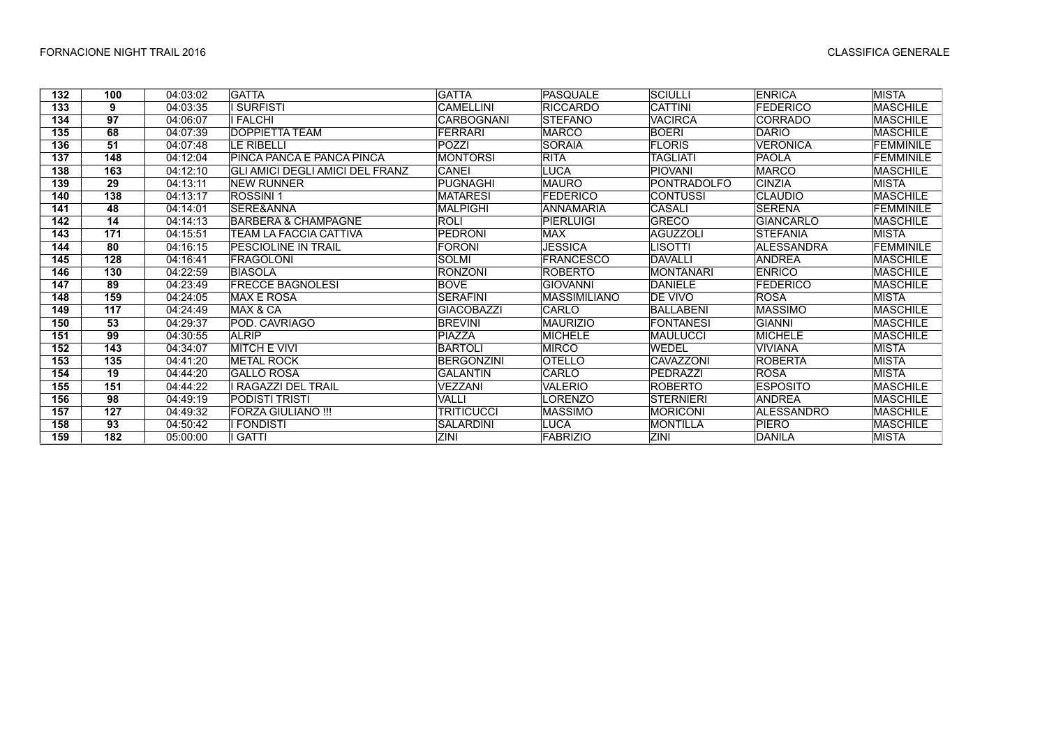| 132 | 100 | 04:03:02 | <b>GATTA</b>                    | <b>GATTA</b>      | PASQUALE         | <b>SCIULLI</b>   | <b>ENRICA</b>     | MISTA            |
|-----|-----|----------|---------------------------------|-------------------|------------------|------------------|-------------------|------------------|
| 133 | 9   | 04:03:35 | <b>SURFISTI</b>                 | <b>CAMELLINI</b>  | <b>RICCARDO</b>  | <b>CATTINI</b>   | <b>FEDERICO</b>   | <b>MASCHILE</b>  |
| 134 | 97  | 04:06:07 | I FALCHI                        | <b>CARBOGNANI</b> | <b>STEFANO</b>   | <b>VACIRCA</b>   | <b>CORRADO</b>    | <b>MASCHILE</b>  |
| 135 | 68  | 04:07:39 | DOPPIETTA TEAM                  | <b>FERRARI</b>    | <b>MARCO</b>     | <b>BOERI</b>     | <b>DARIO</b>      | <b>MASCHILE</b>  |
| 136 | 51  | 04:07:48 | LE RIBELLI                      | POZZI             | <b>SORAIA</b>    | <b>FLORIS</b>    | <b>VERONICA</b>   | FEMMINILE        |
| 137 | 148 | 04:12:04 | PINCA PANCA E PANCA PINCA       | <b>MONTORSI</b>   | <b>RITA</b>      | TAGLIATI         | <b>PAOLA</b>      | FEMMINILE        |
| 138 | 163 | 04:12:10 | GLI AMICI DEGLI AMICI DEL FRANZ | CANEI             | <b>LUCA</b>      | <b>PIOVANI</b>   | <b>MARCO</b>      | <b>MASCHILE</b>  |
| 139 | 29  | 04:13:11 | NEW RUNNER                      | PUGNAGHI          | <b>MAURO</b>     | PONTRADOLFO      | <b>CINZIA</b>     | MISTA            |
| 140 | 138 | 04:13:17 | <b>ROSSINI1</b>                 | <b>MATARESI</b>   | <b>FEDERICO</b>  | <b>CONTUSSI</b>  | <b>CLAUDIO</b>    | <b>MASCHILE</b>  |
| 141 | 48  | 04:14:01 | <b>SERE&amp;ANNA</b>            | <b>MALPIGHI</b>   | <b>ANNAMARIA</b> | <b>CASALI</b>    | <b>SERENA</b>     | <b>FEMMINILE</b> |
| 142 | 14  | 04:14:13 | <b>BARBERA &amp; CHAMPAGNE</b>  | <b>ROLI</b>       | PIERLUIGI        | <b>GRECO</b>     | <b>GIANCARLO</b>  | <b>MASCHILE</b>  |
| 143 | 171 | 04:15:51 | TEAM LA FACCIA CATTIVA          | <b>PEDRONI</b>    | <b>MAX</b>       | <b>AGUZZOLI</b>  | <b>STEFANIA</b>   | <b>MISTA</b>     |
| 144 | 80  | 04:16:15 | <b>PESCIOLINE IN TRAIL</b>      | <b>FORONI</b>     | <b>JESSICA</b>   | LISOTTI          | <b>ALESSANDRA</b> | <b>FEMMINILE</b> |
| 145 | 128 | 04:16:41 | FRAGOLONI                       | <b>SOLMI</b>      | <b>FRANCESCO</b> | <b>DAVALLI</b>   | <b>ANDREA</b>     | <b>MASCHILE</b>  |
| 146 | 130 | 04:22:59 | BIASOLA                         | <b>RONZONI</b>    | <b>ROBERTO</b>   | <b>MONTANARI</b> | <b>ENRICO</b>     | MASCHILE         |
| 147 | 89  | 04:23:49 | <b>FRECCE BAGNOLESI</b>         | <b>BOVE</b>       | <b>GIOVANNI</b>  | <b>DANIELE</b>   | <b>FEDERICO</b>   | <b>MASCHILE</b>  |
| 148 | 159 | 04:24:05 | <b>MAX E ROSA</b>               | <b>SERAFINI</b>   | MASSIMILIANO     | DE VIVO          | <b>ROSA</b>       | <b>MISTA</b>     |
| 149 | 117 | 04:24:49 | MAX & CA                        | <b>GIACOBAZZI</b> | CARLO            | <b>BALLABENI</b> | <b>MASSIMO</b>    | <b>MASCHILE</b>  |
| 150 | 53  | 04:29:37 | POD. CAVRIAGO                   | <b>BREVINI</b>    | <b>MAURIZIO</b>  | <b>FONTANESI</b> | GIANNI            | <b>MASCHILE</b>  |
| 151 | 99  | 04:30:55 | <b>ALRIP</b>                    | PIAZZA            | <b>MICHELE</b>   | MAULUCCI         | <b>MICHELE</b>    | <b>MASCHILE</b>  |
| 152 | 143 | 04:34:07 | <b>MITCH E VIVI</b>             | <b>BARTOLI</b>    | <b>MIRCO</b>     | <b>WEDEL</b>     | <b>VIVIANA</b>    | <b>MISTA</b>     |
| 153 | 135 | 04:41:20 | <b>METAL ROCK</b>               | <b>BERGONZINI</b> | <b>OTELLO</b>    | <b>CAVAZZONI</b> | <b>ROBERTA</b>    | <b>MISTA</b>     |
| 154 | 19  | 04:44:20 | <b>GALLO ROSA</b>               | <b>GALANTIN</b>   | CARLO            | PEDRAZZI         | <b>ROSA</b>       | <b>MISTA</b>     |
| 155 | 151 | 04:44:22 | RAGAZZI DEL TRAIL               | VEZZANI           | <b>VALERIO</b>   | <b>ROBERTO</b>   | <b>ESPOSITO</b>   | <b>MASCHILE</b>  |
| 156 | 98  | 04:49:19 | PODISTI TRISTI                  | VALLI             | LORENZO          | <b>STERNIERI</b> | <b>ANDREA</b>     | <b>MASCHILE</b>  |
| 157 | 127 | 04:49:32 | <b>FORZA GIULIANO !!!</b>       | <b>TRITICUCCI</b> | <b>MASSIMO</b>   | <b>MORICONI</b>  | <b>ALESSANDRO</b> | <b>MASCHILE</b>  |
| 158 | 93  | 04:50:42 | <b>FONDISTI</b>                 | <b>SALARDINI</b>  | <b>LUCA</b>      | MONTILLA         | PIERO             | <b>MASCHILE</b>  |
| 159 | 182 | 05:00:00 | <b>GATTI</b>                    | ZINI              | <b>FABRIZIO</b>  | ZINI             | DANILA            | <b>MISTA</b>     |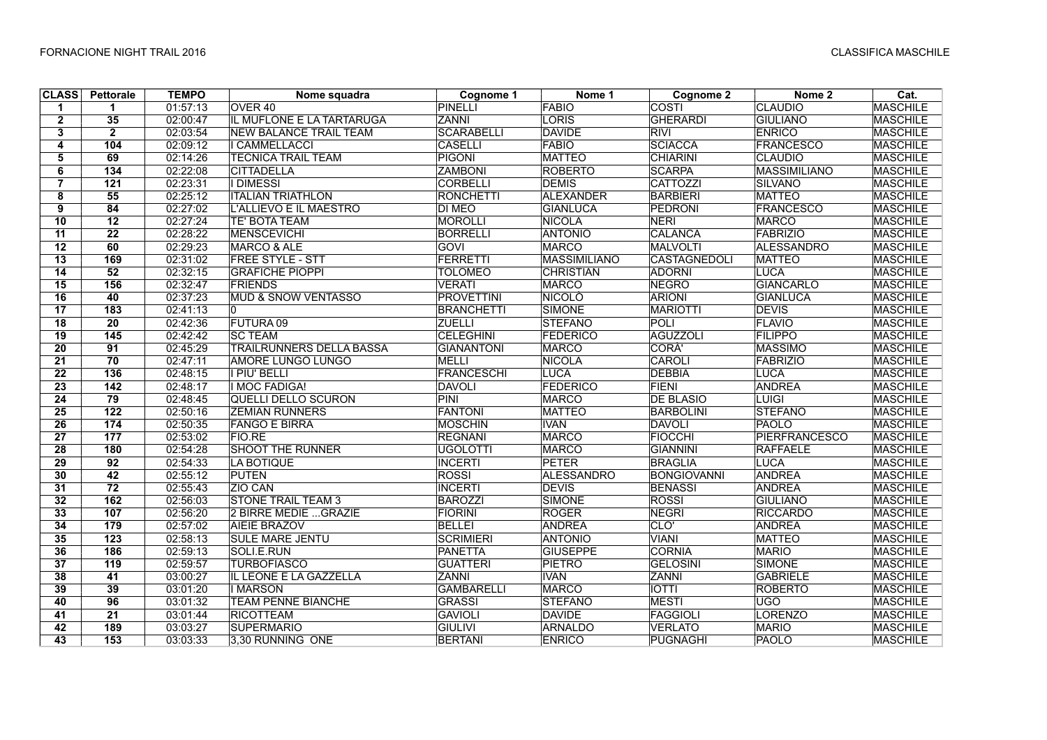| <b>CLASS</b>    | Pettorale        | <b>TEMPO</b> | Nome squadra                    | Cognome 1         | Nome 1              | Cognome 2           | Nome 2               | $\overline{\text{Cat}}$ |
|-----------------|------------------|--------------|---------------------------------|-------------------|---------------------|---------------------|----------------------|-------------------------|
| 1.              | 1                | 01:57:13     | OVER <sub>40</sub>              | <b>PINELLI</b>    | <b>FABIO</b>        | <b>COSTI</b>        | <b>CLAUDIO</b>       | <b>MASCHILE</b>         |
| $\mathbf{2}$    | 35               | 02:00:47     | IL MUFLONE E LA TARTARUGA       | ZANNI             | LORIS               | <b>GHERARDI</b>     | <b>GIULIANO</b>      | <b>MASCHILE</b>         |
| 3               | $\overline{2}$   | 02:03:54     | <b>NEW BALANCE TRAIL TEAM</b>   | <b>SCARABELLI</b> | <b>DAVIDE</b>       | <b>RIVI</b>         | <b>ENRICO</b>        | <b>MASCHILE</b>         |
| 4               | 104              | 02:09:12     | <b>CAMMELLACCI</b>              | <b>CASELLI</b>    | FABIO               | <b>SCIACCA</b>      | <b>FRANCESCO</b>     | <b>MASCHILE</b>         |
| 5               | 69               | 02:14:26     | <b>TECNICA TRAIL TEAM</b>       | <b>PIGONI</b>     | <b>MATTEO</b>       | <b>CHIARINI</b>     | <b>CLAUDIO</b>       | <b>MASCHILE</b>         |
| 6               | $\overline{134}$ | 02:22:08     | <b>CITTADELLA</b>               | <b>ZAMBONI</b>    | <b>ROBERTO</b>      | <b>SCARPA</b>       | <b>MASSIMILIANO</b>  | <b>MASCHILE</b>         |
| $\overline{7}$  | $\overline{121}$ | 02:23:31     | <b>I DIMESSI</b>                | <b>CORBELLI</b>   | <b>DEMIS</b>        | <b>CATTOZZI</b>     | <b>SILVANO</b>       | <b>MASCHILE</b>         |
| 8               | 55               | 02:25:12     | <b>ITALIAN TRIATHLON</b>        | <b>RONCHETTI</b>  | ALEXANDER           | <b>BARBIERI</b>     | <b>MATTEO</b>        | MASCHILE                |
| 9               | 84               | 02:27:02     | L'ALLIEVO E IL MAESTRO          | <b>DI MEO</b>     | <b>GIANLUCA</b>     | <b>PEDRONI</b>      | <b>FRANCESCO</b>     | <b>MASCHILE</b>         |
| 10              | 12               | 02:27:24     | <b>TE' BOTA TEAM</b>            | <b>MOROLLI</b>    | <b>NICOLA</b>       | <b>NERI</b>         | <b>MARCO</b>         | <b>MASCHILE</b>         |
| 11              | $\overline{22}$  | 02:28:22     | MENSCEVICHI                     | <b>BORRELLI</b>   | <b>ANTONIO</b>      | CALANCA             | FABRIZIO             | <b>MASCHILE</b>         |
| 12              | 60               | 02:29:23     | <b>MARCO &amp; ALE</b>          | GOVI              | MARCO               | <b>MALVOLTI</b>     | <b>ALESSANDRO</b>    | <b>MASCHILE</b>         |
| 13              | 169              | 02:31:02     | <b>FREE STYLE - STT</b>         | <b>FERRETTI</b>   | <b>MASSIMILIANO</b> | <b>CASTAGNEDOLI</b> | <b>MATTEO</b>        | <b>MASCHILE</b>         |
| 14              | 52               | 02:32:15     | <b>GRAFICHE PIOPPI</b>          | <b>TOLOMEO</b>    | <b>CHRISTIAN</b>    | <b>ADORNI</b>       | LUCA                 | <b>MASCHILE</b>         |
| 15              | 156              | 02:32:47     | <b>FRIENDS</b>                  | <b>VERATI</b>     | <b>MARCO</b>        | <b>NEGRO</b>        | <b>GIANCARLO</b>     | <b>MASCHILE</b>         |
| $\overline{16}$ | 40               | 02:37:23     | <b>MUD &amp; SNOW VENTASSO</b>  | <b>PROVETTINI</b> | <b>NICOLO</b>       | <b>ARIONI</b>       | <b>GIANLUCA</b>      | <b>MASCHILE</b>         |
| 17              | 183              | 02:41:13     | 10                              | <b>BRANCHETTI</b> | SIMONE              | <b>MARIOTTI</b>     | <b>DEVIS</b>         | <b>MASCHILE</b>         |
| 18              | 20               | 02:42:36     | FUTURA 09                       | <b>ZUELLI</b>     | <b>STEFANO</b>      | POLI                | FLAVIO               | <b>MASCHILE</b>         |
| 19              | 145              | 02:42:42     | <b>SC TEAM</b>                  | <b>CELEGHINI</b>  | FEDERICO            | <b>AGUZZOLI</b>     | <b>FILIPPO</b>       | <b>MASCHILE</b>         |
| $\overline{20}$ | 91               | 02:45:29     | <b>TRAILRUNNERS DELLA BASSA</b> | <b>GIANANTONI</b> | <b>MARCO</b>        | CORA'               | <b>MASSIMO</b>       | <b>MASCHILE</b>         |
| 21              | 70               | 02:47:11     | <b>AMORE LUNGO LUNGO</b>        | <b>MELLI</b>      | NICOLA              | <b>CAROLI</b>       | <b>FABRIZIO</b>      | <b>MASCHILE</b>         |
| $\overline{22}$ | 136              | 02:48:15     | I PIU' BELLI                    | <b>FRANCESCHI</b> | LUCA                | <b>DEBBIA</b>       | <b>LUCA</b>          | <b>MASCHILE</b>         |
| 23              | $142$            | 02:48:17     | <b>I MOC FADIGA!</b>            | <b>DAVOLI</b>     | FEDERICO            | <b>FIENI</b>        | <b>ANDREA</b>        | <b>MASCHILE</b>         |
| 24              | 79               | 02:48:45     | <b>QUELLI DELLO SCURON</b>      | PINI              | <b>MARCO</b>        | <b>DE BLASIO</b>    | <b>LUIGI</b>         | <b>MASCHILE</b>         |
| $\overline{25}$ | $\overline{122}$ | 02:50:16     | <b>ZEMIAN RUNNERS</b>           | <b>FANTONI</b>    | <b>MATTEO</b>       | <b>BARBOLINI</b>    | <b>STEFANO</b>       | <b>MASCHILE</b>         |
| $\overline{26}$ | $\overline{174}$ | 02:50:35     | <b>FANGO E BIRRA</b>            | <b>MOSCHIN</b>    | <b>IVAN</b>         | <b>DAVOLI</b>       | <b>PAOLO</b>         | <b>MASCHILE</b>         |
| $\overline{27}$ | 177              | 02:53:02     | <b>FIO.RE</b>                   | <b>REGNANI</b>    | <b>MARCO</b>        | <b>FIOCCHI</b>      | <b>PIERFRANCESCO</b> | <b>MASCHILE</b>         |
| 28              | 180              | 02:54:28     | <b>SHOOT THE RUNNER</b>         | UGOLOTTI          | <b>MARCO</b>        | <b>GIANNINI</b>     | <b>RAFFAELE</b>      | <b>MASCHILE</b>         |
| 29              | 92               | 02:54:33     | <b>LA BOTIQUE</b>               | <b>INCERTI</b>    | <b>PETER</b>        | <b>BRAGLIA</b>      | <b>LUCA</b>          | <b>MASCHILE</b>         |
| 30              | 42               | 02:55:12     | <b>PUTEN</b>                    | <b>ROSSI</b>      | <b>ALESSANDRO</b>   | <b>BONGIOVANNI</b>  | <b>ANDREA</b>        | <b>MASCHILE</b>         |
| 31              | $\overline{72}$  | 02:55:43     | ZIO CAN                         | <b>INCERTI</b>    | <b>DEVIS</b>        | <b>BENASSI</b>      | <b>ANDREA</b>        | <b>MASCHILE</b>         |
| 32              | 162              | 02:56:03     | <b>STONE TRAIL TEAM 3</b>       | <b>BAROZZI</b>    | SIMONE              | <b>ROSSI</b>        | <b>GIULIANO</b>      | <b>MASCHILE</b>         |
| 33              | 107              | 02:56:20     | 2 BIRRE MEDIE  GRAZIE           | <b>FIORINI</b>    | <b>ROGER</b>        | <b>NEGRI</b>        | <b>RICCARDO</b>      | <b>MASCHILE</b>         |
| 34              | 179              | 02:57:02     | <b>AIEIE BRAZOV</b>             | <b>BELLEI</b>     | <b>ANDREA</b>       | CLO'                | <b>ANDREA</b>        | <b>MASCHILE</b>         |
| 35              | 123              | 02:58:13     | <b>SULE MARE JENTU</b>          | <b>SCRIMIERI</b>  | <b>ANTONIO</b>      | <b>VIANI</b>        | <b>MATTEO</b>        | <b>MASCHILE</b>         |
| 36              | 186              | 02:59:13     | SOLI.E.RUN                      | <b>PANETTA</b>    | <b>GIUSEPPE</b>     | <b>CORNIA</b>       | <b>MARIO</b>         | <b>MASCHILE</b>         |
| $\overline{37}$ | 119              | 02:59:57     | <b>TURBOFIASCO</b>              | <b>GUATTERI</b>   | <b>PIETRO</b>       | <b>GELOSINI</b>     | <b>SIMONE</b>        | <b>MASCHILE</b>         |
| 38              | 41               | 03:00:27     | IL LEONE E LA GAZZELLA          | <b>ZANNI</b>      | <b>IVAN</b>         | <b>ZANNI</b>        | <b>GABRIELE</b>      | <b>MASCHILE</b>         |
| 39              | 39               | 03:01:20     | <b>I MARSON</b>                 | <b>GAMBARELLI</b> | <b>MARCO</b>        | <b>IOTTI</b>        | <b>ROBERTO</b>       | <b>MASCHILE</b>         |
| 40              | 96               | 03:01:32     | <b>TEAM PENNE BIANCHE</b>       | <b>GRASSI</b>     | <b>STEFANO</b>      | <b>MESTI</b>        | <b>UGO</b>           | <b>MASCHILE</b>         |
| 41              | $\overline{21}$  | 03:01:44     | <b>RICOTTEAM</b>                | <b>GAVIOLI</b>    | <b>DAVIDE</b>       | <b>FAGGIOLI</b>     | <b>LORENZO</b>       | <b>MASCHILE</b>         |
| 42              | 189              | 03:03:27     | <b>SUPERMARIO</b>               | <b>GIULIVI</b>    | <b>ARNALDO</b>      | <b>VERLATO</b>      | <b>MARIO</b>         | MASCHILE                |
| 43              | $153$            | 03:03:33     | 3.30 RUNNING ONE                | <b>BERTANI</b>    | <b>ENRICO</b>       | <b>PUGNAGHI</b>     | <b>PAOLO</b>         | <b>MASCHILE</b>         |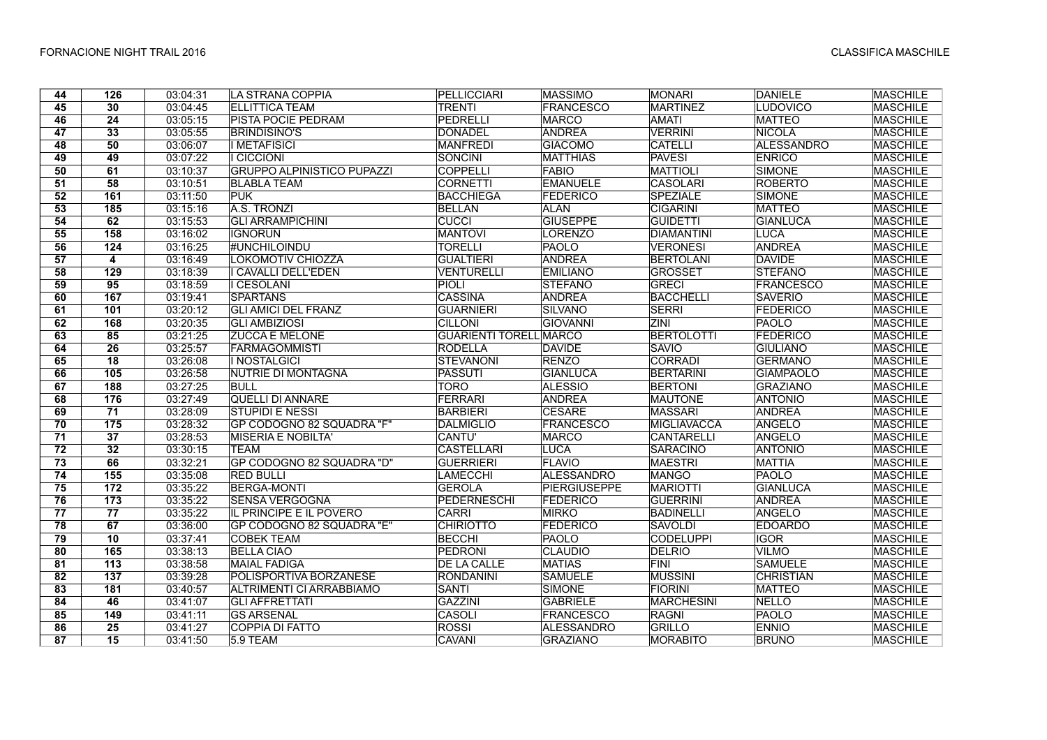| 44              | 126                     | 03:04:31 | <b>LA STRANA COPPIA</b>           | <b>PELLICCIARI</b>            | <b>MASSIMO</b>      | <b>MONARI</b>      | <b>DANIELE</b>    | <b>MASCHILE</b> |
|-----------------|-------------------------|----------|-----------------------------------|-------------------------------|---------------------|--------------------|-------------------|-----------------|
| 45              | 30                      | 03:04:45 | <b>ELLITTICA TEAM</b>             | <b>TRENTI</b>                 | <b>FRANCESCO</b>    | <b>MARTINEZ</b>    | <b>LUDOVICO</b>   | <b>MASCHILE</b> |
| 46              | $\overline{24}$         | 03:05:15 | <b>PISTA POCIE PEDRAM</b>         | PEDRELLI                      | <b>MARCO</b>        | <b>AMATI</b>       | <b>MATTEO</b>     | <b>MASCHILE</b> |
| $\overline{47}$ | 33                      | 03:05:55 | <b>BRINDISINO'S</b>               | DONADEL                       | ANDREA              | <b>VERRINI</b>     | <b>NICOLA</b>     | <b>MASCHILE</b> |
| 48              | 50                      | 03:06:07 | <b>I METAFISICI</b>               | <b>MANFREDI</b>               | <b>GIACOMO</b>      | <b>CATELLI</b>     | <b>ALESSANDRO</b> | <b>MASCHILE</b> |
| 49              | 49                      | 03:07:22 | <b>I CICCIONI</b>                 | <b>SONCINI</b>                | <b>MATTHIAS</b>     | <b>PAVESI</b>      | <b>ENRICO</b>     | <b>MASCHILE</b> |
| 50              | 61                      | 03:10:37 | <b>GRUPPO ALPINISTICO PUPAZZI</b> | <b>COPPELLT</b>               | <b>FABIO</b>        | <b>MATTIOLI</b>    | <b>SIMONE</b>     | <b>MASCHILE</b> |
| 51              | 58                      | 03:10:51 | <b>BLABLA TEAM</b>                | <b>CORNETTI</b>               | <b>EMANUELE</b>     | <b>CASOLARI</b>    | <b>ROBERTO</b>    | <b>MASCHILE</b> |
| 52              | 161                     | 03:11:50 | <b>PUK</b>                        | <b>BACCHIEGA</b>              | <b>FEDERICO</b>     | <b>SPEZIALE</b>    | <b>SIMONE</b>     | <b>MASCHILE</b> |
| 53              | 185                     | 03:15:16 | A.S. TRONZI                       | <b>BELLAN</b>                 | <b>ALAN</b>         | <b>CIGARINI</b>    | <b>MATTEO</b>     | <b>MASCHILE</b> |
| 54              | 62                      | 03:15:53 | <b>GLI ARRAMPICHINI</b>           | <b>CUCCI</b>                  | <b>GIUSEPPE</b>     | <b>GUIDETTI</b>    | <b>GIANLUCA</b>   | <b>MASCHILE</b> |
| 55              | 158                     | 03:16:02 | <b>IGNORUN</b>                    | <b>MANTOVI</b>                | <b>LORENZO</b>      | <b>DIAMANTINI</b>  | <b>LUCA</b>       | <b>MASCHILE</b> |
| 56              | 124                     | 03:16:25 | <b>#UNCHILOINDU</b>               | <b>TORELLI</b>                | <b>PAOLO</b>        | <b>VERONESI</b>    | <b>ANDREA</b>     | <b>MASCHILE</b> |
| $\overline{57}$ | $\overline{\mathbf{4}}$ | 03:16:49 | LOKOMOTIV CHIOZZA                 | <b>GUALTIERI</b>              | <b>ANDREA</b>       | <b>BERTOLANI</b>   | DAVIDE            | <b>MASCHILE</b> |
| 58              | 129                     | 03:18:39 | I CAVALLI DELL'EDEN               | VENTURELLI                    | <b>EMILIANO</b>     | <b>GROSSET</b>     | <b>STEFANO</b>    | <b>MASCHILE</b> |
| 59              | 95                      | 03:18:59 | <b>I CESOLANI</b>                 | <b>PIOLI</b>                  | <b>STEFANO</b>      | <b>GRECI</b>       | <b>FRANCESCO</b>  | <b>MASCHILE</b> |
| 60              | 167                     | 03:19:41 | <b>SPARTANS</b>                   | <b>CASSINA</b>                | <b>ANDREA</b>       | <b>BACCHELLI</b>   | <b>SAVERIO</b>    | <b>MASCHILE</b> |
| 61              | 101                     | 03:20:12 | <b>GLI AMICI DEL FRANZ</b>        | <b>GUARNIERI</b>              | <b>SILVANO</b>      | <b>SERRI</b>       | FEDERICO          | <b>MASCHILE</b> |
| 62              | 168                     | 03:20:35 | <b>GLI AMBIZIOSI</b>              | <b>CILLONI</b>                | <b>GIOVANNI</b>     | ZINI               | PAOLO             | <b>MASCHILE</b> |
| 63              | 85                      | 03:21:25 | <b>ZUCCA E MELONE</b>             | <b>GUARIENTI TORELL MARCO</b> |                     | <b>BERTOLOTTI</b>  | FEDERICO          | <b>MASCHILE</b> |
| 64              | $\overline{26}$         | 03:25:57 | <b>FARMAGOMMISTI</b>              | <b>RODELLA</b>                | <b>DAVIDE</b>       | <b>SAVIO</b>       | <b>GIULIANO</b>   | <b>MASCHILE</b> |
| 65              | 18                      | 03:26:08 | I NOSTALGICI                      | <b>STEVANONI</b>              | <b>RENZO</b>        | <b>CORRADI</b>     | <b>GERMANO</b>    | <b>MASCHILE</b> |
| 66              | 105                     | 03:26:58 | NUTRIE DI MONTAGNA                | <b>PASSUTI</b>                | <b>GIANLUCA</b>     | <b>BERTARINI</b>   | <b>GIAMPAOLO</b>  | <b>MASCHILE</b> |
| 67              | 188                     | 03:27:25 | <b>BULL</b>                       | <b>TORO</b>                   | <b>ALESSIO</b>      | <b>BERTONI</b>     | <b>GRAZIANO</b>   | <b>MASCHILE</b> |
| 68              | 176                     | 03:27:49 | <b>QUELLI DI ANNARE</b>           | FERRARI                       | <b>ANDREA</b>       | <b>MAUTONE</b>     | <b>ANTONIO</b>    | <b>MASCHILE</b> |
| 69              | 71                      | 03:28:09 | <b>STUPIDI E NESSI</b>            | <b>BARBIERI</b>               | <b>CESARE</b>       | <b>MASSARI</b>     | <b>ANDREA</b>     | <b>MASCHILE</b> |
| 70              | 175                     | 03:28:32 | GP CODOGNO 82 SQUADRA "F"         | <b>DALMIGLIO</b>              | <b>FRANCESCO</b>    | <b>MIGLIAVACCA</b> | <b>ANGELO</b>     | <b>MASCHILE</b> |
| 71              | 37                      | 03:28:53 | <b>MISERIA E NOBILTA'</b>         | <b>CANTU'</b>                 | <b>MARCO</b>        | <b>CANTARELLI</b>  | ANGELO            | <b>MASCHILE</b> |
| 72              | 32                      | 03:30:15 | <b>TEAM</b>                       | <b>CASTELLARI</b>             | <b>LUCA</b>         | <b>SARACINO</b>    | <b>ANTONIO</b>    | <b>MASCHILE</b> |
| $\overline{73}$ | 66                      | 03:32:21 | GP CODOGNO 82 SQUADRA "D"         | <b>GUERRIERI</b>              | <b>FLAVIO</b>       | <b>MAESTRI</b>     | <b>MATTIA</b>     | <b>MASCHILE</b> |
| 74              | 155                     | 03:35:08 | <b>RED BULLI</b>                  | LAMECCHI                      | <b>ALESSANDRO</b>   | <b>MANGO</b>       | PAOLO             | <b>MASCHILE</b> |
| 75              | $\overline{172}$        | 03:35:22 | <b>BERGA-MONTI</b>                | <b>GEROLA</b>                 | <b>PIERGIUSEPPE</b> | <b>MARIOTTI</b>    | <b>GIANLUCA</b>   | <b>MASCHILE</b> |
| 76              | 173                     | 03:35:22 | <b>SENSA VERGOGNA</b>             | PEDERNESCHI                   | <b>FEDERICO</b>     | <b>GUERRINI</b>    | <b>ANDREA</b>     | <b>MASCHILE</b> |
| 77              | 77                      | 03:35:22 | <b>IL PRINCIPE E IL POVERO</b>    | <b>CARRI</b>                  | <b>MIRKO</b>        | <b>BADINELLI</b>   | <b>ANGELO</b>     | <b>MASCHILE</b> |
| 78              | 67                      | 03:36:00 | GP CODOGNO 82 SQUADRA "E"         | <b>CHIRIOTTO</b>              | <b>FEDERICO</b>     | <b>SAVOLDI</b>     | <b>EDOARDO</b>    | <b>MASCHILE</b> |
| 79              | 10                      | 03:37:41 | <b>COBEK TEAM</b>                 | <b>BECCHI</b>                 | <b>PAOLO</b>        | <b>CODELUPPI</b>   | <b>IGOR</b>       | <b>MASCHILE</b> |
| 80              | 165                     | 03:38:13 | <b>BELLA CIAO</b>                 | <b>PEDRONI</b>                | <b>CLAUDIO</b>      | <b>DELRIO</b>      | <b>VILMO</b>      | <b>MASCHILE</b> |
| 81              | 113                     | 03:38:58 | <b>MAIAL FADIGA</b>               | <b>DE LA CALLE</b>            | <b>MATIAS</b>       | <b>FINI</b>        | <b>SAMUELE</b>    | <b>MASCHILE</b> |
| 82              | 137                     | 03:39:28 | POLISPORTIVA BORZANESE            | <b>RONDANINI</b>              | <b>SAMUELE</b>      | <b>MUSSINI</b>     | <b>CHRISTIAN</b>  | <b>MASCHILE</b> |
| 83              | 181                     | 03:40:57 | ALTRIMENTI CI ARRABBIAMO          | <b>SANTI</b>                  | <b>SIMONE</b>       | <b>FIORINI</b>     | <b>MATTEO</b>     | <b>MASCHILE</b> |
| 84              | 46                      | 03:41:07 | <b>GLI AFFRETTATI</b>             | <b>GAZZINI</b>                | <b>GABRIELE</b>     | <b>MARCHESINI</b>  | <b>NELLO</b>      | <b>MASCHILE</b> |
| 85              | 149                     | 03:41:11 | <b>GS ARSENAL</b>                 | CASOLI                        | <b>FRANCESCO</b>    | <b>RAGNI</b>       | PAOLO             | <b>MASCHILE</b> |
| 86              | 25                      | 03:41:27 | COPPIA DI FATTO                   | <b>ROSSI</b>                  | <b>ALESSANDRO</b>   | <b>GRILLO</b>      | <b>ENNIO</b>      | <b>MASCHILE</b> |
| 87              | 15                      | 03:41:50 | 5.9 TEAM                          | CAVANI                        | <b>GRAZIANO</b>     | <b>MORABITO</b>    | <b>BRUNO</b>      | <b>MASCHILE</b> |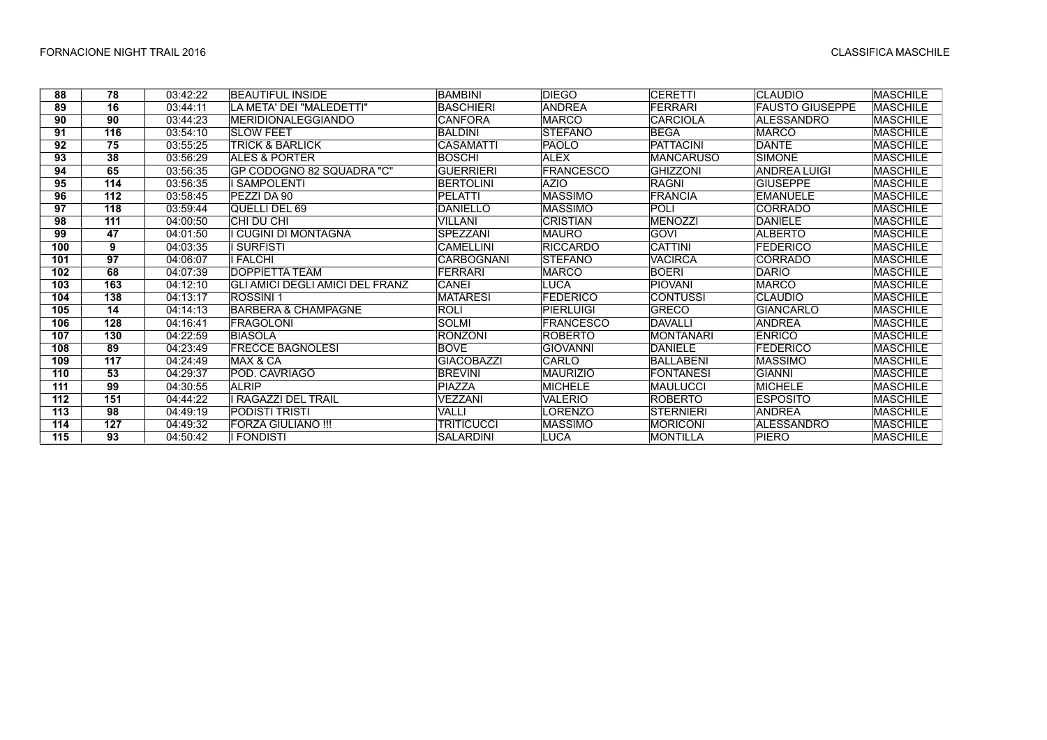| 88  | 78              | 03:42:22 | <b>BEAUTIFUL INSIDE</b>         | <b>BAMBINI</b>    | <b>DIEGO</b>     | <b>CERETTI</b>   | <b>CLAUDIO</b>         | <b>MASCHILE</b> |
|-----|-----------------|----------|---------------------------------|-------------------|------------------|------------------|------------------------|-----------------|
| 89  | $\overline{16}$ | 03:44:11 | LA META' DEI "MALEDETTI"        | <b>BASCHIERI</b>  | <b>ANDREA</b>    | <b>FERRARI</b>   | <b>FAUSTO GIUSEPPE</b> | <b>MASCHILE</b> |
| 90  | 90              | 03:44:23 | <b>MERIDIONALEGGIANDO</b>       | <b>CANFORA</b>    | <b>MARCO</b>     | <b>CARCIOLA</b>  | ALESSANDRO             | <b>MASCHILE</b> |
| 91  | 116             | 03:54:10 | <b>SLOW FEET</b>                | <b>BALDINI</b>    | <b>STEFANO</b>   | <b>BEGA</b>      | <b>MARCO</b>           | <b>MASCHILE</b> |
| 92  | 75              | 03:55:25 | <b>TRICK &amp; BARLICK</b>      | <b>CASAMATTI</b>  | PAOLO            | <b>PATTACINI</b> | <b>DANTE</b>           | <b>MASCHILE</b> |
| 93  | 38              | 03:56:29 | ALES & PORTER                   | <b>BOSCHI</b>     | <b>ALEX</b>      | <b>MANCARUSO</b> | <b>SIMONE</b>          | <b>MASCHILE</b> |
| 94  | 65              | 03:56:35 | GP CODOGNO 82 SQUADRA "C"       | <b>GUERRIERI</b>  | <b>FRANCESCO</b> | <b>GHIZZONI</b>  | <b>ANDREA LUIGI</b>    | <b>MASCHILE</b> |
| 95  | 114             | 03:56:35 | <b>SAMPOLENTI</b>               | <b>BERTOLINI</b>  | <b>AZIO</b>      | <b>RAGNI</b>     | <b>GIUSEPPE</b>        | <b>MASCHILE</b> |
| 96  | 112             | 03:58:45 | PEZZI DA 90                     | <b>PELATTI</b>    | <b>MASSIMO</b>   | <b>FRANCIA</b>   | <b>EMANUELE</b>        | <b>MASCHILE</b> |
| 97  | 118             | 03:59:44 | QUELLI DEL 69                   | <b>DANIELLO</b>   | <b>MASSIMO</b>   | POLI             | <b>CORRADO</b>         | <b>MASCHILE</b> |
| 98  | 111             | 04:00:50 | CHI DU CHI                      | <b>VILLANI</b>    | <b>CRISTIAN</b>  | <b>MENOZZI</b>   | <b>DANIELE</b>         | <b>MASCHILE</b> |
| 99  | 47              | 04:01:50 | I CUGINI DI MONTAGNA            | <b>SPEZZANI</b>   | <b>MAURO</b>     | <b>GOVI</b>      | <b>ALBERTO</b>         | <b>MASCHILE</b> |
| 100 | 9               | 04:03:35 | <b>SURFISTI</b>                 | <b>CAMELLINI</b>  | <b>RICCARDO</b>  | <b>CATTINI</b>   | <b>FEDERICO</b>        | <b>MASCHILE</b> |
| 101 | 97              | 04:06:07 | <b>FALCHI</b>                   | CARBOGNANI        | <b>STEFANO</b>   | <b>VACIRCA</b>   | <b>CORRADO</b>         | <b>MASCHILE</b> |
| 102 | 68              | 04:07:39 | DOPPIETTA TEAM                  | <b>FERRARI</b>    | <b>MARCO</b>     | <b>BOERI</b>     | <b>DARIO</b>           | <b>MASCHILE</b> |
| 103 | 163             | 04:12:10 | GLI AMICI DEGLI AMICI DEL FRANZ | CANEI             | LUCA             | <b>PIOVANI</b>   | <b>MARCO</b>           | <b>MASCHILE</b> |
| 104 | 138             | 04:13:17 | <b>ROSSINI1</b>                 | <b>MATARESI</b>   | FEDERICO         | <b>CONTUSSI</b>  | <b>CLAUDIO</b>         | <b>MASCHILE</b> |
| 105 | 14              | 04:14:13 | BARBERA & CHAMPAGNE             | <b>ROLI</b>       | PIERLUIGI        | <b>GRECO</b>     | <b>GIANCARLO</b>       | <b>MASCHILE</b> |
| 106 | 128             | 04:16:41 | FRAGOLONI                       | <b>SOLMI</b>      | <b>FRANCESCO</b> | DAVALLI          | <b>ANDREA</b>          | <b>MASCHILE</b> |
| 107 | 130             | 04:22:59 | <b>BIASOLA</b>                  | <b>RONZONI</b>    | <b>ROBERTO</b>   | <b>MONTANARI</b> | <b>ENRICO</b>          | <b>MASCHILE</b> |
| 108 | 89              | 04:23:49 | <b>FRECCE BAGNOLESI</b>         | <b>BOVE</b>       | <b>GIOVANNI</b>  | DANIELE          | <b>FEDERICO</b>        | <b>MASCHILE</b> |
| 109 | 117             | 04:24:49 | MAX & CA                        | <b>GIACOBAZZI</b> | CARLO            | BALLABENI        | <b>MASSIMO</b>         | <b>MASCHILE</b> |
| 110 | 53              | 04:29:37 | POD. CAVRIAGO                   | <b>BREVINI</b>    | <b>MAURIZIO</b>  | <b>FONTANESI</b> | <b>GIANNI</b>          | <b>MASCHILE</b> |
| 111 | 99              | 04:30:55 | <b>ALRIP</b>                    | <b>PIAZZA</b>     | <b>MICHELE</b>   | <b>MAULUCCI</b>  | <b>MICHELE</b>         | <b>MASCHILE</b> |
| 112 | 151             | 04:44:22 | RAGAZZI DEL TRAIL               | VEZZANI           | VALERIO          | <b>ROBERTO</b>   | <b>ESPOSITO</b>        | <b>MASCHILE</b> |
| 113 | 98              | 04:49:19 | PODISTI TRISTI                  | VALLI             | LORENZO          | <b>STERNIERI</b> | <b>ANDREA</b>          | <b>MASCHILE</b> |
| 114 | 127             | 04:49:32 | FORZA GIULIANO !!!              | TRITICUCCI        | <b>MASSIMO</b>   | <b>MORICONI</b>  | <b>ALESSANDRO</b>      | <b>MASCHILE</b> |
| 115 | 93              | 04:50:42 | I FONDISTI                      | <b>SALARDINI</b>  | <b>LUCA</b>      | MONTILLA         | <b>PIERO</b>           | <b>MASCHILE</b> |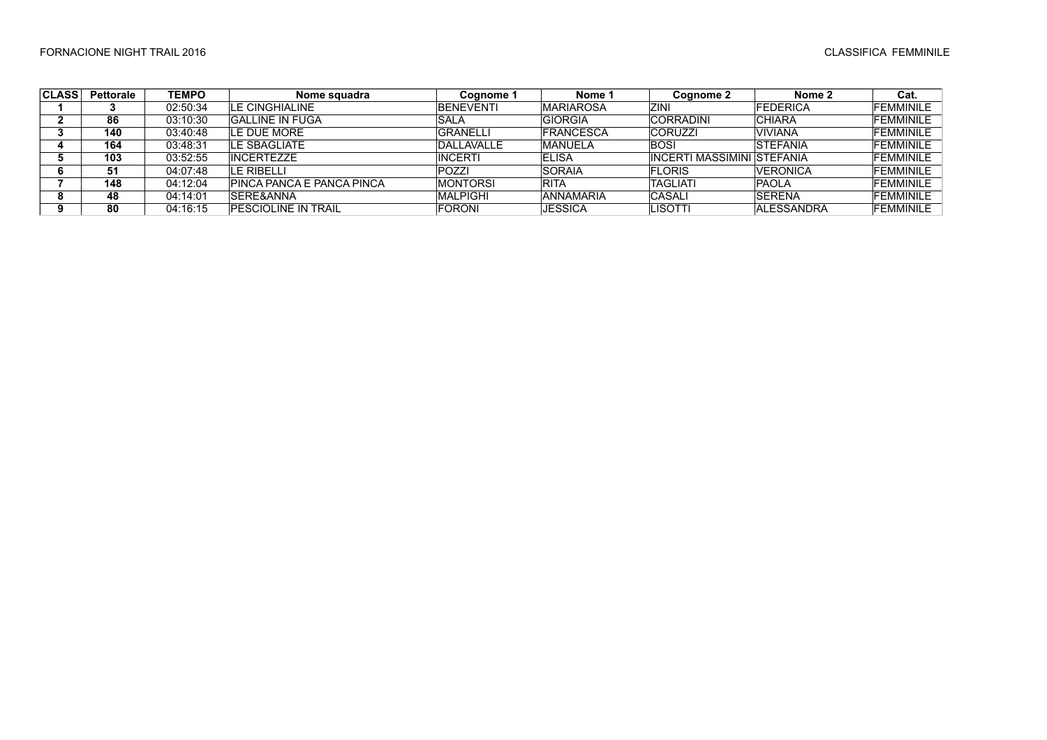| <b>CLASS</b> | <b>Pettorale</b> | <b>TEMPO</b> | Nome squadra                | Cognome 1        | Nome 1            | Cognome 2                    | Nome 2            | Cat.             |
|--------------|------------------|--------------|-----------------------------|------------------|-------------------|------------------------------|-------------------|------------------|
|              |                  | 02:50:34     | LE CINGHIALINE              | <b>BENEVENTI</b> | <b>IMARIAROSA</b> | ZINI                         | <b>FEDERICA</b>   | <b>FEMMINILE</b> |
|              | 86               | 03.10.30     | <b>GALLINE IN FUGA</b>      | SALA             | <b>GIORGIA</b>    | <b>CORRADINI</b>             | <b>CHIARA</b>     | <b>FEMMINILE</b> |
|              | 140              | 03:40:48     | LE DUE MORE                 | <b>GRANELLI</b>  | <b>FRANCESCA</b>  | <b>CORUZZI</b>               | VIVIANA           | <b>FEMMINILE</b> |
|              | 164              | 03:48:31     | I F SBAGI IATF              | DALLAVALLE       | <b>IMANUELA</b>   | <b>BOSI</b>                  | <b>STEFANIA</b>   | <b>FEMMINILE</b> |
|              | 103              | 03:52:55     | <b>INCERTEZZE</b>           | <b>INCERTI</b>   | <b>IELISA</b>     | IINCERTI MASSIMINI ISTEFANIA |                   | <b>FEMMINILE</b> |
|              | 51               | 04:07:48     | LE RIBELLI                  | <b>POZZI</b>     | <b>ISORAIA</b>    | <b>FLORIS</b>                | <b>VERONICA</b>   | <b>FEMMINILE</b> |
|              | 148              | 04:12:04     | PINCA PANCA E PANCA PINCA   | <b>MONTORSI</b>  | <b>RITA</b>       | <b>TAGLIATI</b>              | <b>PAOLA</b>      | <b>FEMMINILE</b> |
|              | 48               | 04:14:01     | <b>ISERE&amp;ANNA</b>       | <b>MALPIGHI</b>  | <b>ANNAMARIA</b>  | CASALI                       | <b>ISERENA</b>    | <b>FEMMINILE</b> |
|              | 80               | 04:16:15     | <b>IPESCIOLINE IN TRAIL</b> | <b>FORONI</b>    | IJESSICA          | LISOTTI                      | <b>ALESSANDRA</b> | <b>FEMMINILE</b> |